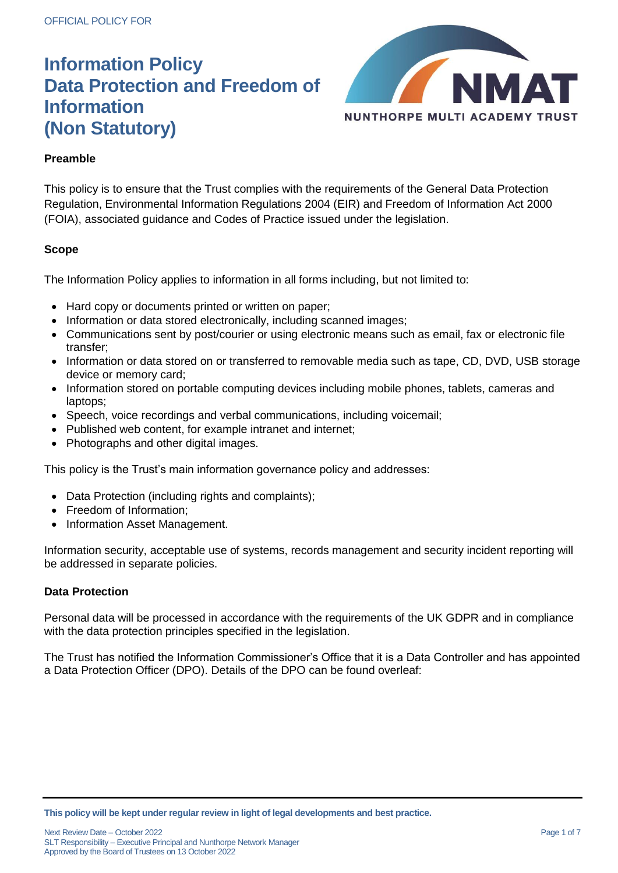

# **Preamble**

This policy is to ensure that the Trust complies with the requirements of the General Data Protection Regulation, Environmental Information Regulations 2004 (EIR) and Freedom of Information Act 2000 (FOIA), associated guidance and Codes of Practice issued under the legislation.

## **Scope**

The Information Policy applies to information in all forms including, but not limited to:

- Hard copy or documents printed or written on paper;
- Information or data stored electronically, including scanned images;
- Communications sent by post/courier or using electronic means such as email, fax or electronic file transfer;
- Information or data stored on or transferred to removable media such as tape, CD, DVD, USB storage device or memory card;
- Information stored on portable computing devices including mobile phones, tablets, cameras and laptops;
- Speech, voice recordings and verbal communications, including voicemail;
- Published web content, for example intranet and internet;
- Photographs and other digital images.

This policy is the Trust's main information governance policy and addresses:

- Data Protection (including rights and complaints);
- Freedom of Information;
- Information Asset Management.

Information security, acceptable use of systems, records management and security incident reporting will be addressed in separate policies.

## **Data Protection**

Personal data will be processed in accordance with the requirements of the UK GDPR and in compliance with the data protection principles specified in the legislation.

The Trust has notified the Information Commissioner's Office that it is a Data Controller and has appointed a Data Protection Officer (DPO). Details of the DPO can be found overleaf:

**This policy will be kept under regular review in light of legal developments and best practice.**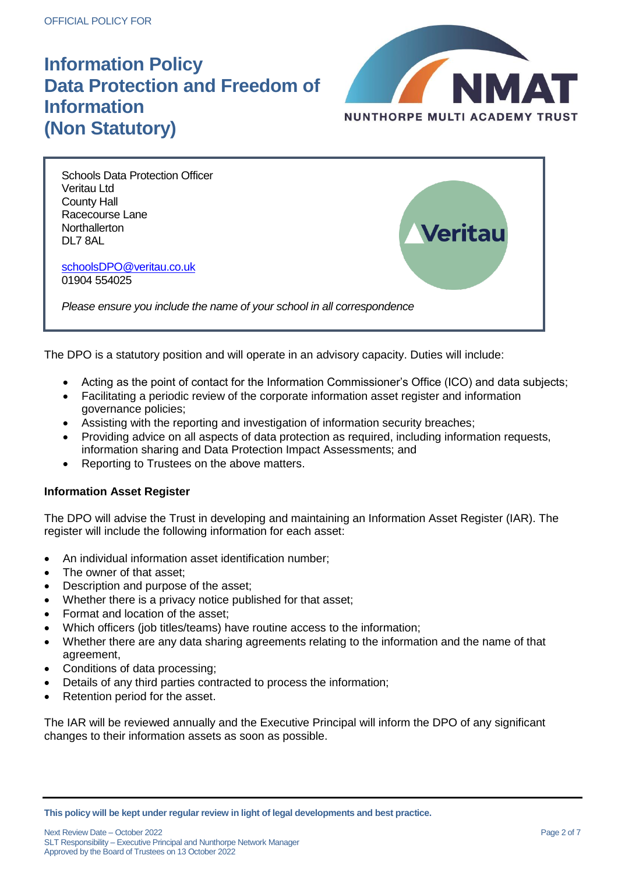

**Veritau** 

Schools Data Protection Officer Veritau Ltd County Hall Racecourse Lane **Northallerton** DL7 8AL

[schoolsDPO@veritau.co.uk](mailto:schoolsDPO@veritau.co.uk) 01904 554025

*Please ensure you include the name of your school in all correspondence*

The DPO is a statutory position and will operate in an advisory capacity. Duties will include:

- Acting as the point of contact for the Information Commissioner's Office (ICO) and data subjects;
- Facilitating a periodic review of the corporate information asset register and information governance policies;
- Assisting with the reporting and investigation of information security breaches;
- Providing advice on all aspects of data protection as required, including information requests, information sharing and Data Protection Impact Assessments; and
- Reporting to Trustees on the above matters.

#### **Information Asset Register**

The DPO will advise the Trust in developing and maintaining an Information Asset Register (IAR). The register will include the following information for each asset:

- An individual information asset identification number;
- The owner of that asset;
- Description and purpose of the asset;
- Whether there is a privacy notice published for that asset;
- Format and location of the asset;
- Which officers (job titles/teams) have routine access to the information;
- Whether there are any data sharing agreements relating to the information and the name of that agreement,
- Conditions of data processing;
- Details of any third parties contracted to process the information;
- Retention period for the asset.

The IAR will be reviewed annually and the Executive Principal will inform the DPO of any significant changes to their information assets as soon as possible.

**This policy will be kept under regular review in light of legal developments and best practice.**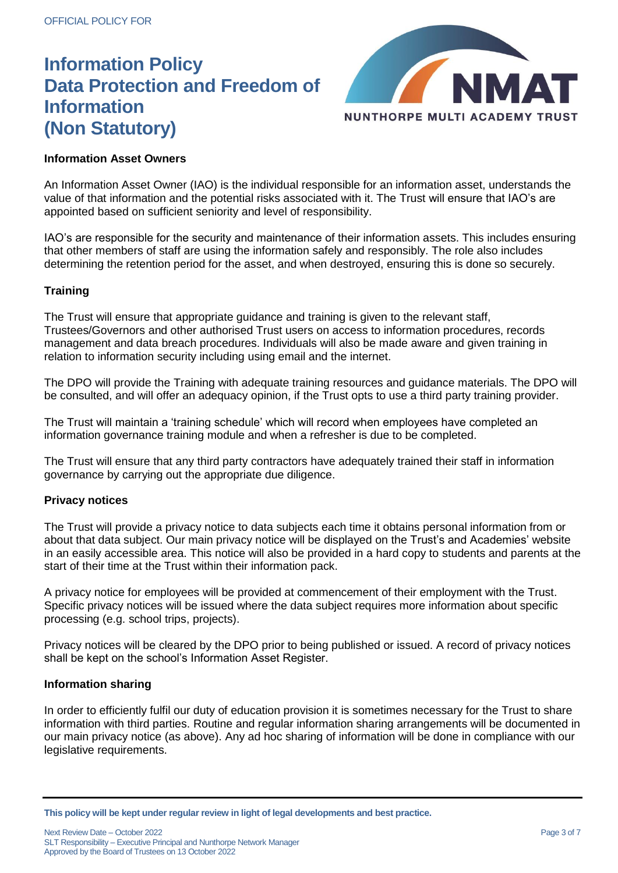

### **Information Asset Owners**

An Information Asset Owner (IAO) is the individual responsible for an information asset, understands the value of that information and the potential risks associated with it. The Trust will ensure that IAO's are appointed based on sufficient seniority and level of responsibility.

IAO's are responsible for the security and maintenance of their information assets. This includes ensuring that other members of staff are using the information safely and responsibly. The role also includes determining the retention period for the asset, and when destroyed, ensuring this is done so securely.

### **Training**

The Trust will ensure that appropriate guidance and training is given to the relevant staff, Trustees/Governors and other authorised Trust users on access to information procedures, records management and data breach procedures. Individuals will also be made aware and given training in relation to information security including using email and the internet.

The DPO will provide the Training with adequate training resources and guidance materials. The DPO will be consulted, and will offer an adequacy opinion, if the Trust opts to use a third party training provider.

The Trust will maintain a 'training schedule' which will record when employees have completed an information governance training module and when a refresher is due to be completed.

The Trust will ensure that any third party contractors have adequately trained their staff in information governance by carrying out the appropriate due diligence.

#### **Privacy notices**

The Trust will provide a privacy notice to data subjects each time it obtains personal information from or about that data subject. Our main privacy notice will be displayed on the Trust's and Academies' website in an easily accessible area. This notice will also be provided in a hard copy to students and parents at the start of their time at the Trust within their information pack.

A privacy notice for employees will be provided at commencement of their employment with the Trust. Specific privacy notices will be issued where the data subject requires more information about specific processing (e.g. school trips, projects).

Privacy notices will be cleared by the DPO prior to being published or issued. A record of privacy notices shall be kept on the school's Information Asset Register.

#### **Information sharing**

In order to efficiently fulfil our duty of education provision it is sometimes necessary for the Trust to share information with third parties. Routine and regular information sharing arrangements will be documented in our main privacy notice (as above). Any ad hoc sharing of information will be done in compliance with our legislative requirements.

**This policy will be kept under regular review in light of legal developments and best practice.**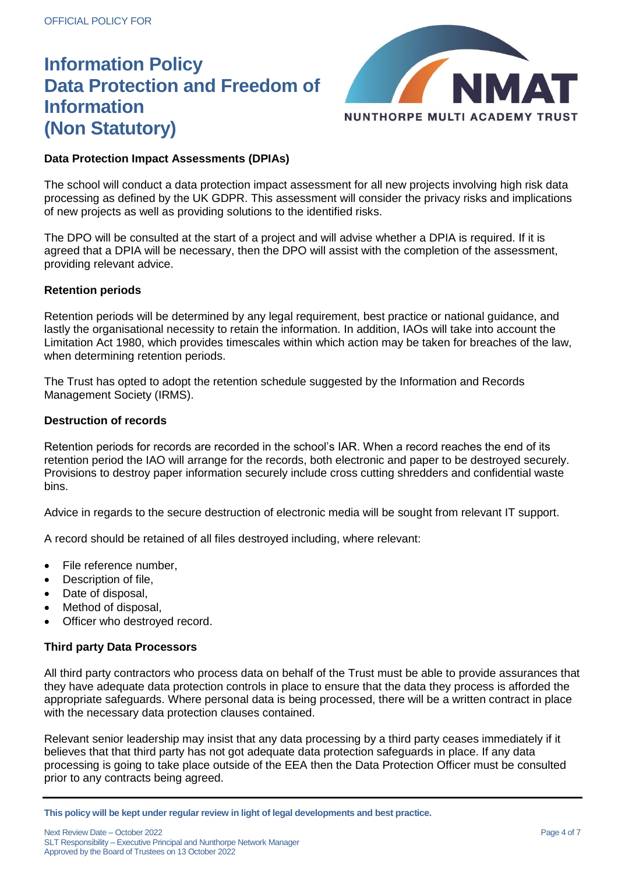

# **Data Protection Impact Assessments (DPIAs)**

The school will conduct a data protection impact assessment for all new projects involving high risk data processing as defined by the UK GDPR. This assessment will consider the privacy risks and implications of new projects as well as providing solutions to the identified risks.

The DPO will be consulted at the start of a project and will advise whether a DPIA is required. If it is agreed that a DPIA will be necessary, then the DPO will assist with the completion of the assessment, providing relevant advice.

## **Retention periods**

Retention periods will be determined by any legal requirement, best practice or national guidance, and lastly the organisational necessity to retain the information. In addition, IAOs will take into account the Limitation Act 1980, which provides timescales within which action may be taken for breaches of the law, when determining retention periods.

The Trust has opted to adopt the retention schedule suggested by the Information and Records Management Society (IRMS).

### **Destruction of records**

Retention periods for records are recorded in the school's IAR. When a record reaches the end of its retention period the IAO will arrange for the records, both electronic and paper to be destroyed securely. Provisions to destroy paper information securely include cross cutting shredders and confidential waste bins.

Advice in regards to the secure destruction of electronic media will be sought from relevant IT support.

A record should be retained of all files destroyed including, where relevant:

- File reference number,
- Description of file,
- Date of disposal,
- Method of disposal,
- Officer who destroyed record.

## **Third party Data Processors**

All third party contractors who process data on behalf of the Trust must be able to provide assurances that they have adequate data protection controls in place to ensure that the data they process is afforded the appropriate safeguards. Where personal data is being processed, there will be a written contract in place with the necessary data protection clauses contained.

Relevant senior leadership may insist that any data processing by a third party ceases immediately if it believes that that third party has not got adequate data protection safeguards in place. If any data processing is going to take place outside of the EEA then the Data Protection Officer must be consulted prior to any contracts being agreed.

**This policy will be kept under regular review in light of legal developments and best practice.**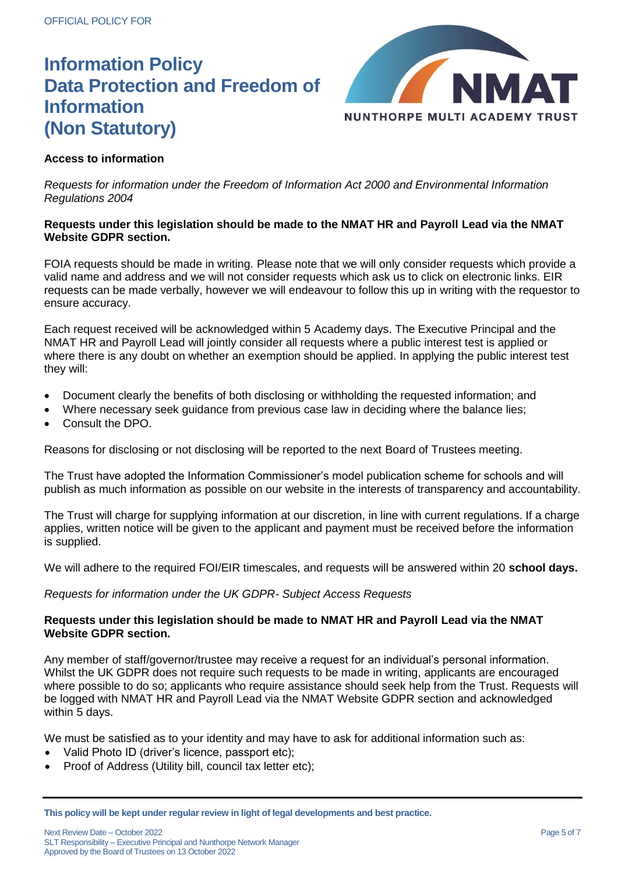

## **Access to information**

*Requests for information under the Freedom of Information Act 2000 and Environmental Information Regulations 2004*

### **Requests under this legislation should be made to the NMAT HR and Payroll Lead via the NMAT Website GDPR section.**

FOIA requests should be made in writing. Please note that we will only consider requests which provide a valid name and address and we will not consider requests which ask us to click on electronic links. EIR requests can be made verbally, however we will endeavour to follow this up in writing with the requestor to ensure accuracy.

Each request received will be acknowledged within 5 Academy days. The Executive Principal and the NMAT HR and Payroll Lead will jointly consider all requests where a public interest test is applied or where there is any doubt on whether an exemption should be applied. In applying the public interest test they will:

- Document clearly the benefits of both disclosing or withholding the requested information; and
- Where necessary seek guidance from previous case law in deciding where the balance lies;
- Consult the DPO.

Reasons for disclosing or not disclosing will be reported to the next Board of Trustees meeting.

The Trust have adopted the Information Commissioner's model publication scheme for schools and will publish as much information as possible on our website in the interests of transparency and accountability.

The Trust will charge for supplying information at our discretion, in line with current regulations. If a charge applies, written notice will be given to the applicant and payment must be received before the information is supplied.

We will adhere to the required FOI/EIR timescales, and requests will be answered within 20 **school days.**

*Requests for information under the UK GDPR- Subject Access Requests*

### **Requests under this legislation should be made to NMAT HR and Payroll Lead via the NMAT Website GDPR section.**

Any member of staff/governor/trustee may receive a request for an individual's personal information. Whilst the UK GDPR does not require such requests to be made in writing, applicants are encouraged where possible to do so; applicants who require assistance should seek help from the Trust. Requests will be logged with NMAT HR and Payroll Lead via the NMAT Website GDPR section and acknowledged within 5 days.

We must be satisfied as to your identity and may have to ask for additional information such as:

- Valid Photo ID (driver's licence, passport etc);
- Proof of Address (Utility bill, council tax letter etc);

**This policy will be kept under regular review in light of legal developments and best practice.**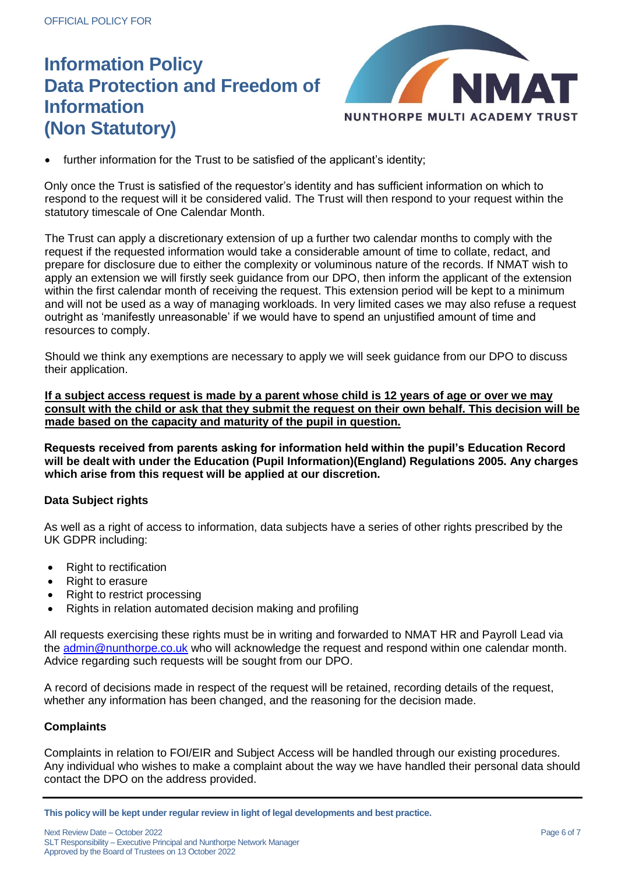

further information for the Trust to be satisfied of the applicant's identity;

Only once the Trust is satisfied of the requestor's identity and has sufficient information on which to respond to the request will it be considered valid. The Trust will then respond to your request within the statutory timescale of One Calendar Month.

The Trust can apply a discretionary extension of up a further two calendar months to comply with the request if the requested information would take a considerable amount of time to collate, redact, and prepare for disclosure due to either the complexity or voluminous nature of the records. If NMAT wish to apply an extension we will firstly seek guidance from our DPO, then inform the applicant of the extension within the first calendar month of receiving the request. This extension period will be kept to a minimum and will not be used as a way of managing workloads. In very limited cases we may also refuse a request outright as 'manifestly unreasonable' if we would have to spend an unjustified amount of time and resources to comply.

Should we think any exemptions are necessary to apply we will seek guidance from our DPO to discuss their application.

**If a subject access request is made by a parent whose child is 12 years of age or over we may consult with the child or ask that they submit the request on their own behalf. This decision will be made based on the capacity and maturity of the pupil in question.** 

**Requests received from parents asking for information held within the pupil's Education Record will be dealt with under the Education (Pupil Information)(England) Regulations 2005. Any charges which arise from this request will be applied at our discretion.** 

## **Data Subject rights**

As well as a right of access to information, data subjects have a series of other rights prescribed by the UK GDPR including:

- Right to rectification
- Right to erasure
- Right to restrict processing
- Rights in relation automated decision making and profiling

All requests exercising these rights must be in writing and forwarded to NMAT HR and Payroll Lead via the [admin@nunthorpe.co.uk](mailto:admin@nunthorpe.co.uk) who will acknowledge the request and respond within one calendar month. Advice regarding such requests will be sought from our DPO.

A record of decisions made in respect of the request will be retained, recording details of the request, whether any information has been changed, and the reasoning for the decision made.

## **Complaints**

Complaints in relation to FOI/EIR and Subject Access will be handled through our existing procedures. Any individual who wishes to make a complaint about the way we have handled their personal data should contact the DPO on the address provided.

**This policy will be kept under regular review in light of legal developments and best practice.**